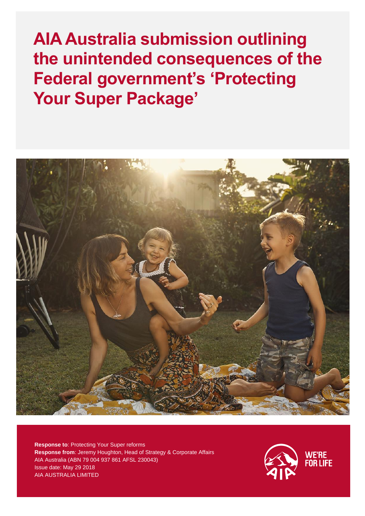**AIA Australia submission outlining the unintended consequences of the Federal government's 'Protecting Your Super Package'**



**Response to**: Protecting Your Super reforms **Response from**: Jeremy Houghton, Head of Strategy & Corporate Affairs AIA Australia (ABN 79 004 937 861 AFSL 230043) Issue date: May 29 2018 AIA AUSTRALIA LIMITED

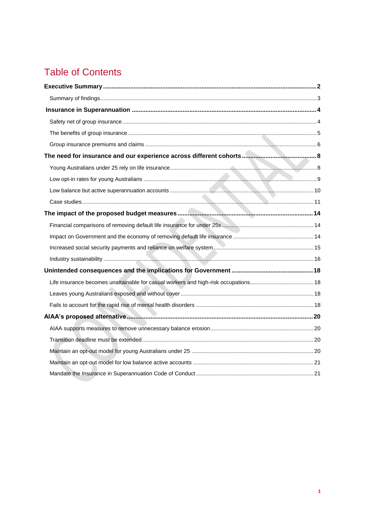# Table of Contents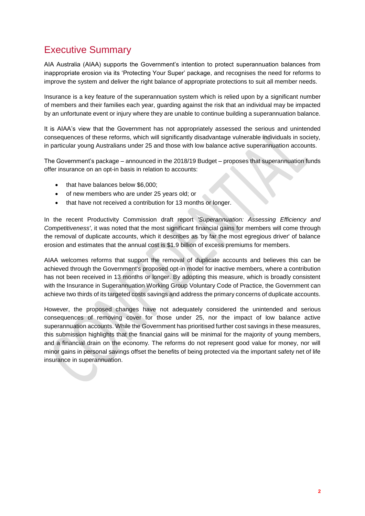# <span id="page-2-0"></span>Executive Summary

AIA Australia (AIAA) supports the Government's intention to protect superannuation balances from inappropriate erosion via its 'Protecting Your Super' package, and recognises the need for reforms to improve the system and deliver the right balance of appropriate protections to suit all member needs.

Insurance is a key feature of the superannuation system which is relied upon by a significant number of members and their families each year, guarding against the risk that an individual may be impacted by an unfortunate event or injury where they are unable to continue building a superannuation balance.

It is AIAA's view that the Government has not appropriately assessed the serious and unintended consequences of these reforms, which will significantly disadvantage vulnerable individuals in society, in particular young Australians under 25 and those with low balance active superannuation accounts.

The Government's package – announced in the 2018/19 Budget – proposes that superannuation funds offer insurance on an opt-in basis in relation to accounts:

- that have balances below \$6,000:
- of new members who are under 25 years old; or
- that have not received a contribution for 13 months or longer.

In the recent Productivity Commission draft report *'Superannuation: Assessing Efficiency and Competitiveness'*, it was noted that the most significant financial gains for members will come through the removal of duplicate accounts, which it describes as 'by far the most egregious driver' of balance erosion and estimates that the annual cost is \$1.9 billion of excess premiums for members.

AIAA welcomes reforms that support the removal of duplicate accounts and believes this can be achieved through the Government's proposed opt-in model for inactive members, where a contribution has not been received in 13 months or longer. By adopting this measure, which is broadly consistent with the Insurance in Superannuation Working Group Voluntary Code of Practice, the Government can achieve two thirds of its targeted costs savings and address the primary concerns of duplicate accounts.

<span id="page-2-1"></span>However, the proposed changes have not adequately considered the unintended and serious consequences of removing cover for those under 25, nor the impact of low balance active superannuation accounts. While the Government has prioritised further cost savings in these measures, this submission highlights that the financial gains will be minimal for the majority of young members, and a financial drain on the economy. The reforms do not represent good value for money, nor will minor gains in personal savings offset the benefits of being protected via the important safety net of life insurance in superannuation.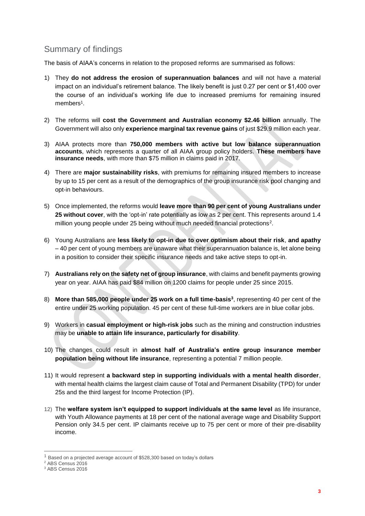## Summary of findings

The basis of AIAA's concerns in relation to the proposed reforms are summarised as follows:

- 1) They **do not address the erosion of superannuation balances** and will not have a material impact on an individual's retirement balance. The likely benefit is just 0.27 per cent or \$1,400 over the course of an individual's working life due to increased premiums for remaining insured members<sup>1</sup>.
- 2) The reforms will **cost the Government and Australian economy \$2.46 billion** annually. The Government will also only **experience marginal tax revenue gains** of just \$29.9 million each year.
- 3) AIAA protects more than **750,000 members with active but low balance superannuation accounts**, which represents a quarter of all AIAA group policy holders. **These members have insurance needs**, with more than \$75 million in claims paid in 2017.
- 4) There are **major sustainability risks**, with premiums for remaining insured members to increase by up to 15 per cent as a result of the demographics of the group insurance risk pool changing and opt-in behaviours.
- 5) Once implemented, the reforms would **leave more than 90 per cent of young Australians under 25 without cover**, with the 'opt-in' rate potentially as low as 2 per cent. This represents around 1.4 million young people under 25 being without much needed financial protections<sup>2</sup>.
- 6) Young Australians are **less likely to opt-in due to over optimism about their risk**, **and apathy** – 40 per cent of young members are unaware what their superannuation balance is, let alone being in a position to consider their specific insurance needs and take active steps to opt-in.
- 7) **Australians rely on the safety net of group insurance**, with claims and benefit payments growing year on year. AIAA has paid \$84 million on 1200 claims for people under 25 since 2015.
- 8) **More than 585,000 people under 25 work on a full time-basis<sup>3</sup>** , representing 40 per cent of the entire under 25 working population. 45 per cent of these full-time workers are in blue collar jobs.
- 9) Workers in **casual employment or high-risk jobs** such as the mining and construction industries may be **unable to attain life insurance, particularly for disability**.
- 10) The changes could result in **almost half of Australia's entire group insurance member population being without life insurance**, representing a potential 7 million people.
- 11) It would represent **a backward step in supporting individuals with a mental health disorder**, with mental health claims the largest claim cause of Total and Permanent Disability (TPD) for under 25s and the third largest for Income Protection (IP).
- 12) The **welfare system isn't equipped to support individuals at the same level** as life insurance, with Youth Allowance payments at 18 per cent of the national average wage and Disability Support Pension only 34.5 per cent. IP claimants receive up to 75 per cent or more of their pre-disability income.

 $\overline{a}$ 

 $1$  Based on a projected average account of \$528,300 based on today's dollars

<sup>&</sup>lt;sup>2</sup> ABS Census 2016

<sup>3</sup> ABS Census 2016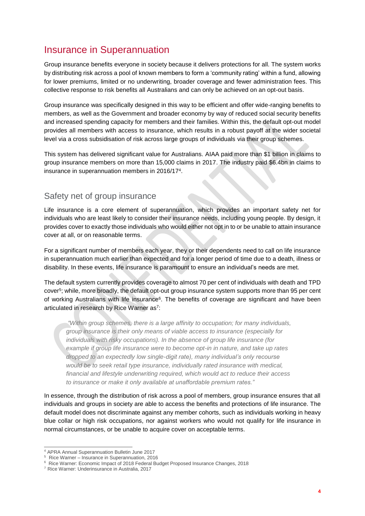# <span id="page-4-0"></span>Insurance in Superannuation

Group insurance benefits everyone in society because it delivers protections for all. The system works by distributing risk across a pool of known members to form a 'community rating' within a fund, allowing for lower premiums, limited or no underwriting, broader coverage and fewer administration fees. This collective response to risk benefits all Australians and can only be achieved on an opt-out basis.

Group insurance was specifically designed in this way to be efficient and offer wide-ranging benefits to members, as well as the Government and broader economy by way of reduced social security benefits and increased spending capacity for members and their families. Within this, the default opt-out model provides all members with access to insurance, which results in a robust payoff at the wider societal level via a cross subsidisation of risk across large groups of individuals via their group schemes.

This system has delivered significant value for Australians. AIAA paid more than \$1 billion in claims to group insurance members on more than 15,000 claims in 2017. The industry paid \$6.4bn in claims to insurance in superannuation members in 2016/17<sup>4</sup> .

### <span id="page-4-1"></span>Safety net of group insurance

Life insurance is a core element of superannuation, which provides an important safety net for individuals who are least likely to consider their insurance needs, including young people. By design, it provides cover to exactly those individuals who would either not opt in to or be unable to attain insurance cover at all, or on reasonable terms.

For a significant number of members each year, they or their dependents need to call on life insurance in superannuation much earlier than expected and for a longer period of time due to a death, illness or disability. In these events, life insurance is paramount to ensure an individual's needs are met.

The default system currently provides coverage to almost 70 per cent of individuals with death and TPD cover<sup>5</sup> ; while, more broadly, the default opt-out group insurance system supports more than 95 per cent of working Australians with life insurance<sup>6</sup>. The benefits of coverage are significant and have been articulated in research by Rice Warner as<sup>7</sup>:

*"Within group schemes, there is a large affinity to occupation; for many individuals, group insurance is their only means of viable access to insurance (especially for individuals with risky occupations). In the absence of group life insurance (for example if group life insurance were to become opt-in in nature, and take up rates dropped to an expectedly low single-digit rate), many individual's only recourse would be to seek retail type insurance, individually rated insurance with medical, financial and lifestyle underwriting required, which would act to reduce their access to insurance or make it only available at unaffordable premium rates."*

In essence, through the distribution of risk across a pool of members, group insurance ensures that all individuals and groups in society are able to access the benefits and protections of life insurance. The default model does not discriminate against any member cohorts, such as individuals working in heavy blue collar or high risk occupations, nor against workers who would not qualify for life insurance in normal circumstances, or be unable to acquire cover on acceptable terms.

-

<sup>4</sup> APRA Annual Superannuation Bulletin June 2017

<sup>5</sup> Rice Warner – Insurance in Superannuation, 2016

<sup>6</sup> Rice Warner: Economic Impact of 2018 Federal Budget Proposed Insurance Changes, 2018

<sup>7</sup> Rice Warner: Underinsurance in Australia, 2017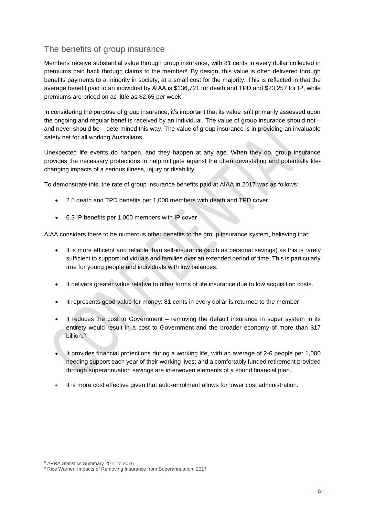## <span id="page-5-0"></span>The benefits of group insurance

Members receive substantial value through group insurance, with 81 cents in every dollar collected in premiums paid back through claims to the member<sup>8</sup>. By design, this value is often delivered through benefits payments to a minority in society, at a small cost for the majority. This is reflected in that the average benefit paid to an individual by AIAA is \$136,721 for death and TPD and \$23,257 for IP, while premiums are priced on as little as \$2.65 per week.

In considering the purpose of group insurance, it's important that its value isn't primarily assessed upon the ongoing and regular benefits received by an individual. The value of group insurance should not – and never should be – determined this way. The value of group insurance is in providing an invaluable safety net for all working Australians.

Unexpected life events do happen, and they happen at any age. When they do, group insurance provides the necessary protections to help mitigate against the often devastating and potentially lifechanging impacts of a serious illness, injury or disability.

To demonstrate this, the rate of group insurance benefits paid at AIAA in 2017 was as follows:

- 2.5 death and TPD benefits per 1,000 members with death and TPD cover
- 6.3 IP benefits per 1,000 members with IP cover

AIAA considers there to be numerous other benefits to the group insurance system, believing that:

- It is more efficient and reliable than self-insurance (such as personal savings) as this is rarely sufficient to support individuals and families over an extended period of time. This is particularly true for young people and individuals with low balances.
- It delivers greater value relative to other forms of life insurance due to low acquisition costs.
- It represents good value for money: 81 cents in every dollar is returned to the member
- It reduces the cost to Government removing the default insurance in super system in its entirety would result in a cost to Government and the broader economy of more than \$17 billion.<sup>9</sup>
- It provides financial protections during a working life, with an average of 2-6 people per 1,000 needing support each year of their working lives; and a comfortably funded retirement provided through superannuation savings are interwoven elements of a sound financial plan.
- It is more cost effective given that auto-enrolment allows for lower cost administration.

<sup>-</sup><sup>8</sup> APRA Statistics Summary 2011 to 2016

<sup>&</sup>lt;sup>9</sup> Rice Warner: Impacts of Removing Insurance from Superannuation, 2017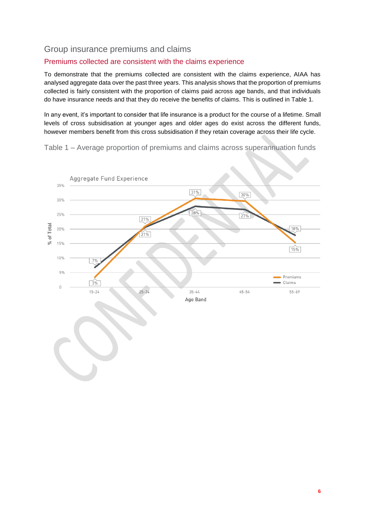### <span id="page-6-0"></span>Group insurance premiums and claims

#### Premiums collected are consistent with the claims experience

To demonstrate that the premiums collected are consistent with the claims experience, AIAA has analysed aggregate data over the past three years. This analysis shows that the proportion of premiums collected is fairly consistent with the proportion of claims paid across age bands, and that individuals do have insurance needs and that they do receive the benefits of claims. This is outlined in Table 1.

In any event, it's important to consider that life insurance is a product for the course of a lifetime. Small levels of cross subsidisation at younger ages and older ages do exist across the different funds, however members benefit from this cross subsidisation if they retain coverage across their life cycle.

Table 1 – Average proportion of premiums and claims across superannuation funds

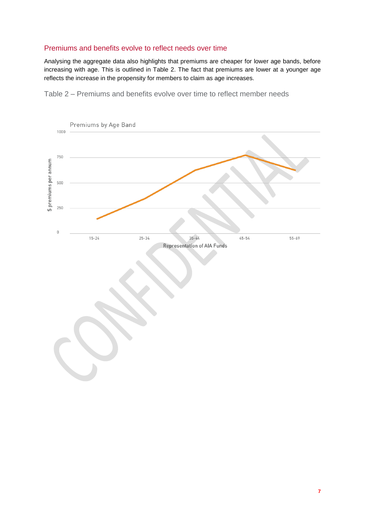### Premiums and benefits evolve to reflect needs over time

Analysing the aggregate data also highlights that premiums are cheaper for lower age bands, before increasing with age. This is outlined in Table 2. The fact that premiums are lower at a younger age reflects the increase in the propensity for members to claim as age increases.

Table 2 – Premiums and benefits evolve over time to reflect member needs

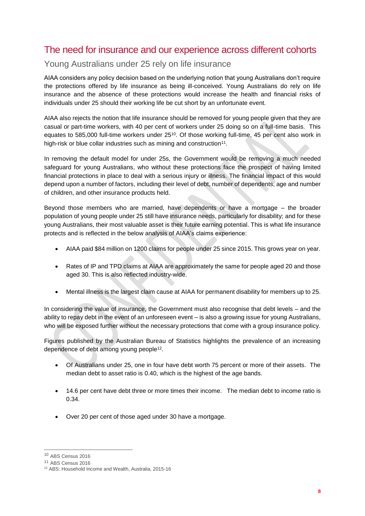## <span id="page-8-0"></span>The need for insurance and our experience across different cohorts

### <span id="page-8-1"></span>Young Australians under 25 rely on life insurance

<span id="page-8-2"></span>AIAA considers any policy decision based on the underlying notion that young Australians don't require the protections offered by life insurance as being ill-conceived. Young Australians do rely on life insurance and the absence of these protections would increase the health and financial risks of individuals under 25 should their working life be cut short by an unfortunate event.

AIAA also rejects the notion that life insurance should be removed for young people given that they are casual or part-time workers, with 40 per cent of workers under 25 doing so on a full-time basis. This equates to 585,000 full-time workers under 25<sup>10</sup>. Of those working full-time, 45 per cent also work in high-risk or blue collar industries such as mining and construction<sup>11</sup>.

In removing the default model for under 25s, the Government would be removing a much needed safeguard for young Australians, who without these protections face the prospect of having limited financial protections in place to deal with a serious injury or illness. The financial impact of this would depend upon a number of factors, including their level of debt, number of dependents, age and number of children, and other insurance products held.

Beyond those members who are married, have dependents or have a mortgage – the broader population of young people under 25 still have insurance needs, particularly for disability; and for these young Australians, their most valuable asset is their future earning potential. This is what life insurance protects and is reflected in the below analysis of AIAA's claims experience:

- AIAA paid \$84 million on 1200 claims for people under 25 since 2015. This grows year on year.
- Rates of IP and TPD claims at AIAA are approximately the same for people aged 20 and those aged 30. This is also reflected industry-wide.
- Mental illness is the largest claim cause at AIAA for permanent disability for members up to 25.

In considering the value of insurance, the Government must also recognise that debt levels – and the ability to repay debt in the event of an unforeseen event – is also a growing issue for young Australians, who will be exposed further without the necessary protections that come with a group insurance policy.

Figures published by the Australian Bureau of Statistics highlights the prevalence of an increasing dependence of debt among young people<sup>12</sup>.

- Of Australians under 25, one in four have debt worth 75 percent or more of their assets. The median debt to asset ratio is 0.40, which is the highest of the age bands.
- 14.6 per cent have debt three or more times their income. The median debt to income ratio is 0.34.
- Over 20 per cent of those aged under 30 have a mortgage.

 $\overline{a}$ 

<sup>10</sup> ABS Census 2016

<sup>11</sup> ABS Census 2016

<sup>12</sup> ABS: Household Income and Wealth, Australia, 2015-16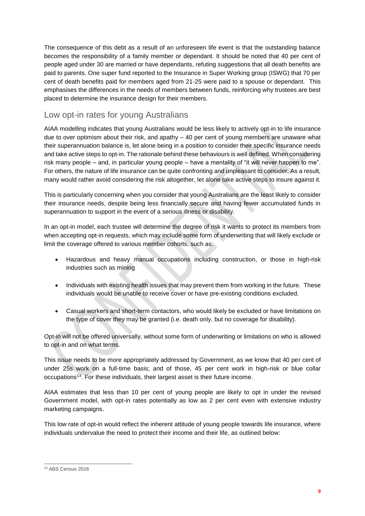The consequence of this debt as a result of an unforeseen life event is that the outstanding balance becomes the responsibility of a family member or dependant. It should be noted that 40 per cent of people aged under 30 are married or have dependants, refuting suggestions that all death benefits are paid to parents. One super fund reported to the Insurance in Super Working group (ISWG) that 70 per cent of death benefits paid for members aged from 21-25 were paid to a spouse or dependant. This emphasises the differences in the needs of members between funds, reinforcing why trustees are best placed to determine the insurance design for their members.

## Low opt-in rates for young Australians

AIAA modelling indicates that young Australians would be less likely to actively opt-in to life insurance due to over optimism about their risk, and apathy – 40 per cent of young members are unaware what their superannuation balance is, let alone being in a position to consider their specific insurance needs and take active steps to opt-in. The rationale behind these behaviours is well defined. When considering risk many people – and, in particular young people – have a mentality of "it will never happen to me". For others, the nature of life insurance can be quite confronting and unpleasant to consider. As a result, many would rather avoid considering the risk altogether, let alone take active steps to insure against it.

This is particularly concerning when you consider that young Australians are the least likely to consider their insurance needs, despite being less financially secure and having fewer accumulated funds in superannuation to support in the event of a serious illness or disability.

In an opt-in model, each trustee will determine the degree of risk it wants to protect its members from when accepting opt-in requests, which may include some form of underwriting that will likely exclude or limit the coverage offered to various member cohorts, such as:

- Hazardous and heavy manual occupations including construction, or those in high-risk industries such as mining
- Individuals with existing health issues that may prevent them from working in the future. These individuals would be unable to receive cover or have pre-existing conditions excluded.
- Casual workers and short-term contactors, who would likely be excluded or have limitations on the type of cover they may be granted (i.e. death only, but no coverage for disability).

Opt-in will not be offered universally, without some form of underwriting or limitations on who is allowed to opt-in and on what terms.

This issue needs to be more appropriately addressed by Government, as we know that 40 per cent of under 25s work on a full-time basis; and of those, 45 per cent work in high-risk or blue collar occupations<sup>13</sup>. For these individuals, their largest asset is their future income.

AIAA estimates that less than 10 per cent of young people are likely to opt in under the revised Government model, with opt-in rates potentially as low as 2 per cent even with extensive industry marketing campaigns.

This low rate of opt-in would reflect the inherent attitude of young people towards life insurance, where individuals undervalue the need to protect their income and their life, as outlined below:

 $\overline{a}$ <sup>13</sup> ABS Census 2016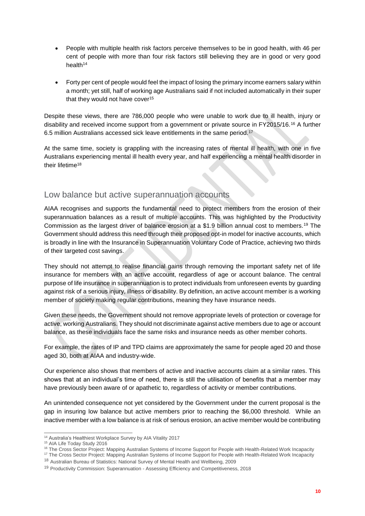- People with multiple health risk factors perceive themselves to be in good health, with 46 per cent of people with more than four risk factors still believing they are in good or very good health<sup>14</sup>
- Forty per cent of people would feel the impact of losing the primary income earners salary within a month; yet still, half of working age Australians said if not included automatically in their super that they would not have cover 15

Despite these views, there are 786,000 people who were unable to work due to ill health, injury or disability and received income support from a government or private source in FY2015/16.<sup>16</sup> A further 6.5 million Australians accessed sick leave entitlements in the same period.<sup>17</sup>

<span id="page-10-0"></span>At the same time, society is grappling with the increasing rates of mental ill health, with one in five Australians experiencing mental ill health every year, and half experiencing a mental health disorder in their lifetime<sup>18</sup>

### Low balance but active superannuation accounts

AIAA recognises and supports the fundamental need to protect members from the erosion of their superannuation balances as a result of multiple accounts. This was highlighted by the Productivity Commission as the largest driver of balance erosion at a \$1.9 billion annual cost to members.<sup>19</sup> The Government should address this need through their proposed opt-in model for inactive accounts, which is broadly in line with the Insurance in Superannuation Voluntary Code of Practice, achieving two thirds of their targeted cost savings.

They should not attempt to realise financial gains through removing the important safety net of life insurance for members with an active account, regardless of age or account balance. The central purpose of life insurance in superannuation is to protect individuals from unforeseen events by guarding against risk of a serious injury, illness or disability. By definition, an active account member is a working member of society making regular contributions, meaning they have insurance needs.

Given these needs, the Government should not remove appropriate levels of protection or coverage for active, working Australians. They should not discriminate against active members due to age or account balance, as these individuals face the same risks and insurance needs as other member cohorts.

For example, the rates of IP and TPD claims are approximately the same for people aged 20 and those aged 30, both at AIAA and industry-wide.

Our experience also shows that members of active and inactive accounts claim at a similar rates. This shows that at an individual's time of need, there is still the utilisation of benefits that a member may have previously been aware of or apathetic to, regardless of activity or member contributions.

An unintended consequence not yet considered by the Government under the current proposal is the gap in insuring low balance but active members prior to reaching the \$6,000 threshold. While an inactive member with a low balance is at risk of serious erosion, an active member would be contributing

 $\overline{a}$ <sup>14</sup> Australia's Healthiest Workplace Survey by AIA Vitality 2017

<sup>15</sup> AIA Life Today Study 2016

<sup>&</sup>lt;sup>16</sup> The Cross Sector Project: Mapping Australian Systems of Income Support for People with Health-Related Work Incapacity

<sup>&</sup>lt;sup>17</sup> The Cross Sector Project: Mapping Australian Systems of Income Support for People with Health-Related Work Incapacity

<sup>18</sup> Australian Bureau of Statistics: National Survey of Mental Health and Wellbeing, 2009

<sup>&</sup>lt;sup>19</sup> Productivity Commission: Superannuation - Assessing Efficiency and Competitiveness, 2018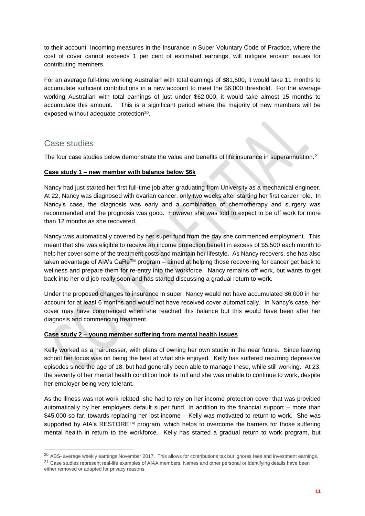to their account. Incoming measures in the Insurance in Super Voluntary Code of Practice, where the cost of cover cannot exceeds 1 per cent of estimated earnings, will mitigate erosion issues for contributing members.

For an average full-time working Australian with total earnings of \$81,500, it would take 11 months to accumulate sufficient contributions in a new account to meet the \$6,000 threshold. For the average working Australian with total earnings of just under \$62,000, it would take almost 15 months to accumulate this amount. This is a significant period where the majority of new members will be exposed without adequate protection<sup>20</sup>.

### <span id="page-11-0"></span>Case studies

 $\overline{a}$ 

The four case studies below demonstrate the value and benefits of life insurance in superannuation.<sup>21</sup>

#### **Case study 1 – new member with balance below \$6k**

Nancy had just started her first full-time job after graduating from University as a mechanical engineer. At 22, Nancy was diagnosed with ovarian cancer, only two weeks after starting her first career role. In Nancy's case, the diagnosis was early and a combination of chemotherapy and surgery was recommended and the prognosis was good. However she was told to expect to be off work for more than 12 months as she recovered.

Nancy was automatically covered by her super fund from the day she commenced employment. This meant that she was eligible to receive an income protection benefit in excess of \$5,500 each month to help her cover some of the treatment costs and maintain her lifestyle. As Nancy recovers, she has also taken advantage of AIA's CaReTM program – aimed at helping those recovering for cancer get back to wellness and prepare them for re-entry into the workforce. Nancy remains off work, but wants to get back into her old job really soon and has started discussing a gradual return to work.

Under the proposed changes to insurance in super, Nancy would not have accumulated \$6,000 in her account for at least 6 months and would not have received cover automatically. In Nancy's case, her cover may have commenced when she reached this balance but this would have been after her diagnosis and commencing treatment.

#### **Case study 2 – young member suffering from mental health issues**

Kelly worked as a hairdresser, with plans of owning her own studio in the near future. Since leaving school her focus was on being the best at what she enjoyed. Kelly has suffered recurring depressive episodes since the age of 18, but had generally been able to manage these, while still working. At 23, the severity of her mental health condition took its toll and she was unable to continue to work, despite her employer being very tolerant.

As the illness was not work related, she had to rely on her income protection cover that was provided automatically by her employers default super fund. In addition to the financial support – more than \$45,000 so far, towards replacing her lost income – Kelly was motivated to return to work. She was supported by AIA's RESTORE™ program, which helps to overcome the barriers for those suffering mental health in return to the workforce. Kelly has started a gradual return to work program, but

<sup>&</sup>lt;sup>20</sup> ABS- average weekly earnings November 2017. This allows for contributions tax but ignores fees and investment earnings. <sup>21</sup> Case studies represent real-life examples of AIAA members. Names and other personal or identifying details have been either removed or adapted for privacy reasons.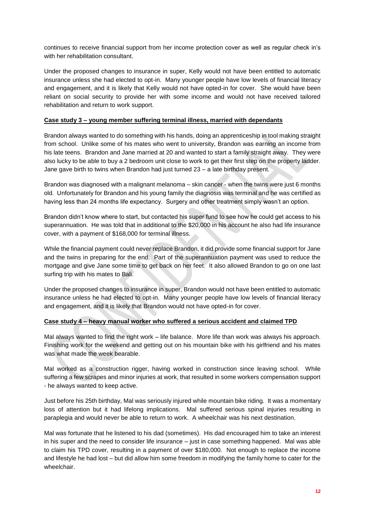continues to receive financial support from her income protection cover as well as regular check in's with her rehabilitation consultant.

Under the proposed changes to insurance in super, Kelly would not have been entitled to automatic insurance unless she had elected to opt-in. Many younger people have low levels of financial literacy and engagement, and it is likely that Kelly would not have opted-in for cover. She would have been reliant on social security to provide her with some income and would not have received tailored rehabilitation and return to work support.

#### **Case study 3 – young member suffering terminal illness, married with dependants**

Brandon always wanted to do something with his hands, doing an apprenticeship in tool making straight from school. Unlike some of his mates who went to university, Brandon was earning an income from his late teens. Brandon and Jane married at 20 and wanted to start a family straight away. They were also lucky to be able to buy a 2 bedroom unit close to work to get their first step on the property ladder. Jane gave birth to twins when Brandon had just turned 23 – a late birthday present.

Brandon was diagnosed with a malignant melanoma – skin cancer - when the twins were just 6 months old. Unfortunately for Brandon and his young family the diagnosis was terminal and he was certified as having less than 24 months life expectancy. Surgery and other treatment simply wasn't an option.

Brandon didn't know where to start, but contacted his super fund to see how he could get access to his superannuation. He was told that in additional to the \$20,000 in his account he also had life insurance cover, with a payment of \$168,000 for terminal illness.

While the financial payment could never replace Brandon, it did provide some financial support for Jane and the twins in preparing for the end. Part of the superannuation payment was used to reduce the mortgage and give Jane some time to get back on her feet. It also allowed Brandon to go on one last surfing trip with his mates to Bali.

Under the proposed changes to insurance in super, Brandon would not have been entitled to automatic insurance unless he had elected to opt-in. Many younger people have low levels of financial literacy and engagement, and it is likely that Brandon would not have opted-in for cover.

#### **Case study 4 – heavy manual worker who suffered a serious accident and claimed TPD**

Mal always wanted to find the right work – life balance. More life than work was always his approach. Finishing work for the weekend and getting out on his mountain bike with his girlfriend and his mates was what made the week bearable.

Mal worked as a construction rigger, having worked in construction since leaving school. While suffering a few scrapes and minor injuries at work, that resulted in some workers compensation support - he always wanted to keep active.

Just before his 25th birthday, Mal was seriously injured while mountain bike riding. It was a momentary loss of attention but it had lifelong implications. Mal suffered serious spinal injuries resulting in paraplegia and would never be able to return to work. A wheelchair was his next destination.

Mal was fortunate that he listened to his dad (sometimes). His dad encouraged him to take an interest in his super and the need to consider life insurance – just in case something happened. Mal was able to claim his TPD cover, resulting in a payment of over \$180,000. Not enough to replace the income and lifestyle he had lost – but did allow him some freedom in modifying the family home to cater for the wheelchair.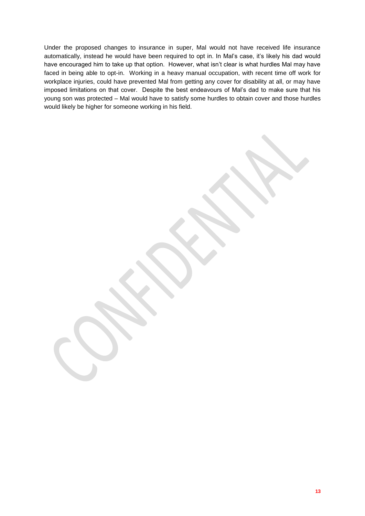Under the proposed changes to insurance in super, Mal would not have received life insurance automatically, instead he would have been required to opt in. In Mal's case, it's likely his dad would have encouraged him to take up that option. However, what isn't clear is what hurdles Mal may have faced in being able to opt-in. Working in a heavy manual occupation, with recent time off work for workplace injuries, could have prevented Mal from getting any cover for disability at all, or may have imposed limitations on that cover. Despite the best endeavours of Mal's dad to make sure that his young son was protected – Mal would have to satisfy some hurdles to obtain cover and those hurdles would likely be higher for someone working in his field.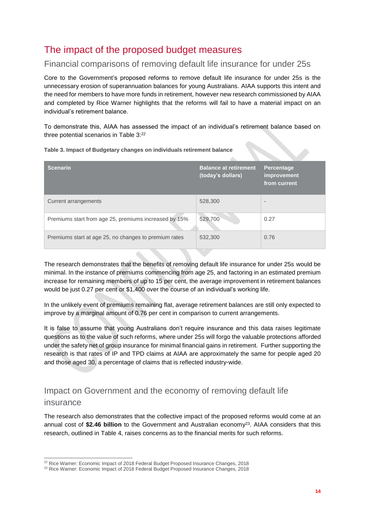# <span id="page-14-0"></span>The impact of the proposed budget measures

### <span id="page-14-1"></span>Financial comparisons of removing default life insurance for under 25s

Core to the Government's proposed reforms to remove default life insurance for under 25s is the unnecessary erosion of superannuation balances for young Australians. AIAA supports this intent and the need for members to have more funds in retirement, however new research commissioned by AIAA and completed by Rice Warner highlights that the reforms will fail to have a material impact on an individual's retirement balance.

To demonstrate this, AIAA has assessed the impact of an individual's retirement balance based on three potential scenarios in Table 3: 22

| <b>Scenario</b>                                       | <b>Balance at retirement</b><br>(today's dollars) | Percentage<br><i>improvement</i><br>from current |
|-------------------------------------------------------|---------------------------------------------------|--------------------------------------------------|
| Current arrangements                                  | 528,300                                           | $\overline{\phantom{a}}$                         |
| Premiums start from age 25, premiums increased by 15% | 529,700                                           | 0.27                                             |
| Premiums start at age 25, no changes to premium rates | 532,300                                           | 0.76                                             |

**Table 3. Impact of Budgetary changes on individuals retirement balance**

The research demonstrates that the benefits of removing default life insurance for under 25s would be minimal. In the instance of premiums commencing from age 25, and factoring in an estimated premium increase for remaining members of up to 15 per cent, the average improvement in retirement balances would be just 0.27 per cent or \$1,400 over the course of an individual's working life.

In the unlikely event of premiums remaining flat, average retirement balances are still only expected to improve by a marginal amount of 0.76 per cent in comparison to current arrangements.

It is false to assume that young Australians don't require insurance and this data raises legitimate questions as to the value of such reforms, where under 25s will forgo the valuable protections afforded under the safety net of group insurance for minimal financial gains in retirement. Further supporting the research is that rates of IP and TPD claims at AIAA are approximately the same for people aged 20 and those aged 30, a percentage of claims that is reflected industry-wide.

## <span id="page-14-2"></span>Impact on Government and the economy of removing default life insurance

The research also demonstrates that the collective impact of the proposed reforms would come at an annual cost of \$2.46 billion to the Government and Australian economy<sup>23</sup>. AIAA considers that this research, outlined in Table 4, raises concerns as to the financial merits for such reforms.

<sup>-</sup> $22$  Rice Warner: Economic Impact of 2018 Federal Budget Proposed Insurance Changes, 2018

<sup>&</sup>lt;sup>23</sup> Rice Warner: Economic Impact of 2018 Federal Budget Proposed Insurance Changes, 2018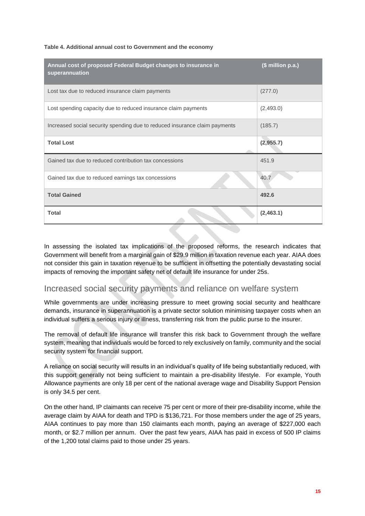| Table 4. Additional annual cost to Government and the economy |
|---------------------------------------------------------------|
|                                                               |

| Annual cost of proposed Federal Budget changes to insurance in<br>superannuation | (\$ million p.a.) |
|----------------------------------------------------------------------------------|-------------------|
| Lost tax due to reduced insurance claim payments                                 | (277.0)           |
| Lost spending capacity due to reduced insurance claim payments                   | (2,493.0)         |
| Increased social security spending due to reduced insurance claim payments       | (185.7)           |
| <b>Total Lost</b>                                                                | (2,955.7)         |
| Gained tax due to reduced contribution tax concessions                           | 451.9             |
| Gained tax due to reduced earnings tax concessions                               | 40.7              |
| <b>Total Gained</b>                                                              | 492.6             |
| <b>Total</b>                                                                     | (2,463.1)         |

In assessing the isolated tax implications of the proposed reforms, the research indicates that Government will benefit from a marginal gain of \$29.9 million in taxation revenue each year. AIAA does not consider this gain in taxation revenue to be sufficient in offsetting the potentially devastating social impacts of removing the important safety net of default life insurance for under 25s.

### <span id="page-15-0"></span>Increased social security payments and reliance on welfare system

While governments are under increasing pressure to meet growing social security and healthcare demands, insurance in superannuation is a private sector solution minimising taxpayer costs when an individual suffers a serious injury or illness, transferring risk from the public purse to the insurer.

The removal of default life insurance will transfer this risk back to Government through the welfare system, meaning that individuals would be forced to rely exclusively on family, community and the social security system for financial support.

A reliance on social security will results in an individual's quality of life being substantially reduced, with this support generally not being sufficient to maintain a pre-disability lifestyle. For example, Youth Allowance payments are only 18 per cent of the national average wage and Disability Support Pension is only 34.5 per cent.

On the other hand, IP claimants can receive 75 per cent or more of their pre-disability income, while the average claim by AIAA for death and TPD is \$136,721. For those members under the age of 25 years, AIAA continues to pay more than 150 claimants each month, paying an average of \$227,000 each month, or \$2.7 million per annum. Over the past few years, AIAA has paid in excess of 500 IP claims of the 1,200 total claims paid to those under 25 years.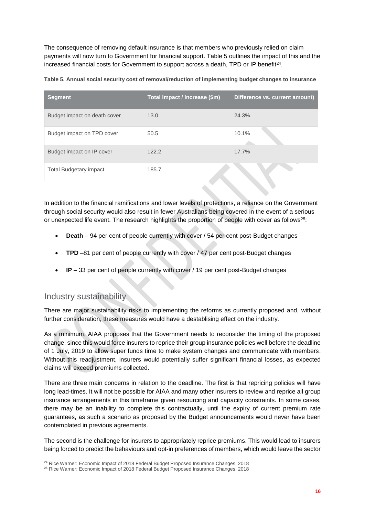The consequence of removing default insurance is that members who previously relied on claim payments will now turn to Government for financial support. Table 5 outlines the impact of this and the increased financial costs for Government to support across a death, TPD or IP benefit<sup>24</sup>.

| Table 5. Annual social security cost of removal/reduction of implementing budget changes to insurance |  |  |
|-------------------------------------------------------------------------------------------------------|--|--|
|                                                                                                       |  |  |

| <b>Segment</b>                | Total Impact / Increase (\$m) | Difference vs. current amount) |
|-------------------------------|-------------------------------|--------------------------------|
| Budget impact on death cover  | 13.0                          | 24.3%                          |
| Budget impact on TPD cover    | 50.5                          | 10.1%                          |
| Budget impact on IP cover     | 122.2                         | 17.7%                          |
| <b>Total Budgetary impact</b> | 185.7                         |                                |

In addition to the financial ramifications and lower levels of protections, a reliance on the Government through social security would also result in fewer Australians being covered in the event of a serious or unexpected life event. The research highlights the proportion of people with cover as follows<sup>25</sup>:

- **Death** 94 per cent of people currently with cover / 54 per cent post-Budget changes
- **TPD** –81 per cent of people currently with cover / 47 per cent post-Budget changes
- **IP** 33 per cent of people currently with cover / 19 per cent post-Budget changes

### <span id="page-16-0"></span>Industry sustainability

There are major sustainability risks to implementing the reforms as currently proposed and, without further consideration, these measures would have a destablising effect on the industry.

As a minimum, AIAA proposes that the Government needs to reconsider the timing of the proposed change, since this would force insurers to reprice their group insurance policies well before the deadline of 1 July, 2019 to allow super funds time to make system changes and communicate with members. Without this readjustment, insurers would potentially suffer significant financial losses, as expected claims will exceed premiums collected.

There are three main concerns in relation to the deadline. The first is that repricing policies will have long lead-times. It will not be possible for AIAA and many other insurers to review and reprice all group insurance arrangements in this timeframe given resourcing and capacity constraints. In some cases, there may be an inability to complete this contractually, until the expiry of current premium rate guarantees, as such a scenario as proposed by the Budget announcements would never have been contemplated in previous agreements.

The second is the challenge for insurers to appropriately reprice premiums. This would lead to insurers being forced to predict the behaviours and opt-in preferences of members, which would leave the sector

<sup>-</sup><sup>24</sup> Rice Warner: Economic Impact of 2018 Federal Budget Proposed Insurance Changes, 2018

<sup>&</sup>lt;sup>25</sup> Rice Warner: Economic Impact of 2018 Federal Budget Proposed Insurance Changes, 2018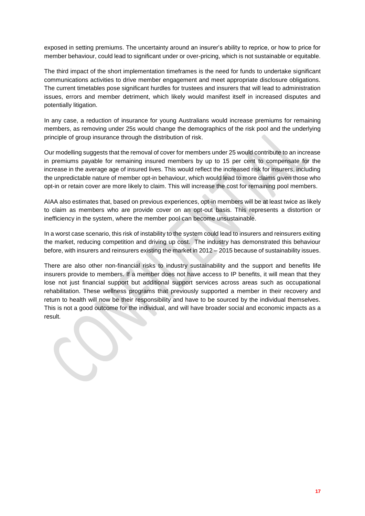exposed in setting premiums. The uncertainty around an insurer's ability to reprice, or how to price for member behaviour, could lead to significant under or over-pricing, which is not sustainable or equitable.

The third impact of the short implementation timeframes is the need for funds to undertake significant communications activities to drive member engagement and meet appropriate disclosure obligations. The current timetables pose significant hurdles for trustees and insurers that will lead to administration issues, errors and member detriment, which likely would manifest itself in increased disputes and potentially litigation.

In any case, a reduction of insurance for young Australians would increase premiums for remaining members, as removing under 25s would change the demographics of the risk pool and the underlying principle of group insurance through the distribution of risk.

Our modelling suggests that the removal of cover for members under 25 would contribute to an increase in premiums payable for remaining insured members by up to 15 per cent to compensate for the increase in the average age of insured lives. This would reflect the increased risk for insurers, including the unpredictable nature of member opt-in behaviour, which would lead to more claims given those who opt-in or retain cover are more likely to claim. This will increase the cost for remaining pool members.

AIAA also estimates that, based on previous experiences, opt-in members will be at least twice as likely to claim as members who are provide cover on an opt-out basis. This represents a distortion or inefficiency in the system, where the member pool can become unsustainable.

In a worst case scenario, this risk of instability to the system could lead to insurers and reinsurers exiting the market, reducing competition and driving up cost. The industry has demonstrated this behaviour before, with insurers and reinsurers existing the market in 2012 – 2015 because of sustainability issues.

There are also other non-financial risks to industry sustainability and the support and benefits life insurers provide to members. If a member does not have access to IP benefits, it will mean that they lose not just financial support but additional support services across areas such as occupational rehabilitation. These wellness programs that previously supported a member in their recovery and return to health will now be their responsibility and have to be sourced by the individual themselves. This is not a good outcome for the individual, and will have broader social and economic impacts as a result.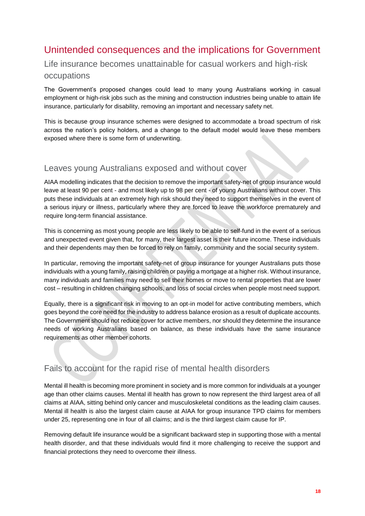# <span id="page-18-0"></span>Unintended consequences and the implications for Government

# <span id="page-18-1"></span>Life insurance becomes unattainable for casual workers and high-risk

### occupations

The Government's proposed changes could lead to many young Australians working in casual employment or high-risk jobs such as the mining and construction industries being unable to attain life insurance, particularly for disability, removing an important and necessary safety net.

This is because group insurance schemes were designed to accommodate a broad spectrum of risk across the nation's policy holders, and a change to the default model would leave these members exposed where there is some form of underwriting.

### <span id="page-18-2"></span>Leaves young Australians exposed and without cover

AIAA modelling indicates that the decision to remove the important safety-net of group insurance would leave at least 90 per cent - and most likely up to 98 per cent - of young Australians without cover. This puts these individuals at an extremely high risk should they need to support themselves in the event of a serious injury or illness, particularly where they are forced to leave the workforce prematurely and require long-term financial assistance.

This is concerning as most young people are less likely to be able to self-fund in the event of a serious and unexpected event given that, for many, their largest asset is their future income. These individuals and their dependents may then be forced to rely on family, community and the social security system.

In particular, removing the important safety-net of group insurance for younger Australians puts those individuals with a young family, raising children or paying a mortgage at a higher risk. Without insurance, many individuals and families may need to sell their homes or move to rental properties that are lower cost – resulting in children changing schools, and loss of social circles when people most need support.

Equally, there is a significant risk in moving to an opt-in model for active contributing members, which goes beyond the core need for the industry to address balance erosion as a result of duplicate accounts. The Government should not reduce cover for active members, nor should they determine the insurance needs of working Australians based on balance, as these individuals have the same insurance requirements as other member cohorts.

### Fails to account for the rapid rise of mental health disorders

Mental ill health is becoming more prominent in society and is more common for individuals at a younger age than other claims causes. Mental ill health has grown to now represent the third largest area of all claims at AIAA, sitting behind only cancer and musculoskeletal conditions as the leading claim causes. Mental ill health is also the largest claim cause at AIAA for group insurance TPD claims for members under 25, representing one in four of all claims; and is the third largest claim cause for IP.

Removing default life insurance would be a significant backward step in supporting those with a mental health disorder, and that these individuals would find it more challenging to receive the support and financial protections they need to overcome their illness.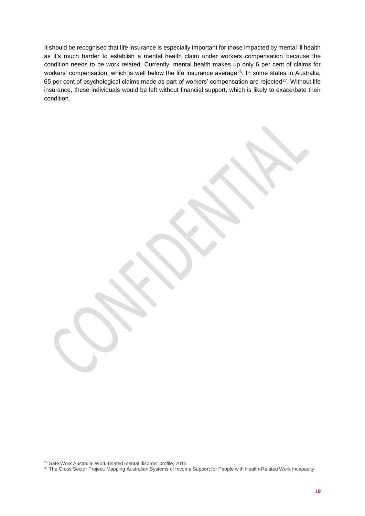It should be recognised that life insurance is especially important for those impacted by mental ill health as it's much harder to establish a mental health claim under workers compensation because the condition needs to be work related. Currently, mental health makes up only 6 per cent of claims for workers' compensation, which is well below the life insurance average<sup>26</sup>. In some states in Australia, 65 per cent of psychological claims made as part of workers' compensation are rejected<sup>27</sup>. Without life insurance, these individuals would be left without financial support, which is likely to exacerbate their condition.

<sup>-</sup><sup>26</sup> Safe Work Australia: Work-related mental disorder profile, 2015

<sup>27</sup> The Cross Sector Project: Mapping Australian Systems of Income Support for People with Health-Related Work Incapacity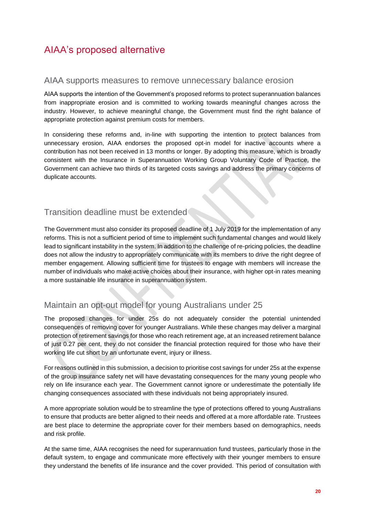# <span id="page-20-0"></span>AIAA's proposed alternative

#### <span id="page-20-1"></span>AIAA supports measures to remove unnecessary balance erosion

AIAA supports the intention of the Government's proposed reforms to protect superannuation balances from inappropriate erosion and is committed to working towards meaningful changes across the industry. However, to achieve meaningful change, the Government must find the right balance of appropriate protection against premium costs for members.

In considering these reforms and, in-line with supporting the intention to protect balances from unnecessary erosion, AIAA endorses the proposed opt-in model for inactive accounts where a contribution has not been received in 13 months or longer. By adopting this measure, which is broadly consistent with the Insurance in Superannuation Working Group Voluntary Code of Practice, the Government can achieve two thirds of its targeted costs savings and address the primary concerns of duplicate accounts.

### Transition deadline must be extended

The Government must also consider its proposed deadline of 1 July 2019 for the implementation of any reforms. This is not a sufficient period of time to implement such fundamental changes and would likely lead to significant instability in the system. In addition to the challenge of re-pricing policies, the deadline does not allow the industry to appropriately communicate with its members to drive the right degree of member engagement. Allowing sufficient time for trustees to engage with members will increase the number of individuals who make active choices about their insurance, with higher opt-in rates meaning a more sustainable life insurance in superannuation system.

### <span id="page-20-2"></span>Maintain an opt-out model for young Australians under 25

The proposed changes for under 25s do not adequately consider the potential unintended consequences of removing cover for younger Australians. While these changes may deliver a marginal protection of retirement savings for those who reach retirement age, at an increased retirement balance of just 0.27 per cent, they do not consider the financial protection required for those who have their working life cut short by an unfortunate event, injury or illness.

For reasons outlined in this submission, a decision to prioritise cost savings for under 25s at the expense of the group insurance safety net will have devastating consequences for the many young people who rely on life insurance each year. The Government cannot ignore or underestimate the potentially life changing consequences associated with these individuals not being appropriately insured.

A more appropriate solution would be to streamline the type of protections offered to young Australians to ensure that products are better aligned to their needs and offered at a more affordable rate. Trustees are best place to determine the appropriate cover for their members based on demographics, needs and risk profile.

At the same time, AIAA recognises the need for superannuation fund trustees, particularly those in the default system, to engage and communicate more effectively with their younger members to ensure they understand the benefits of life insurance and the cover provided. This period of consultation with